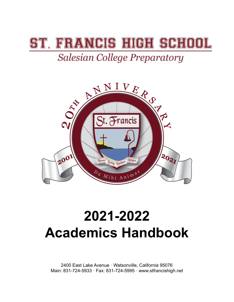# **FRANCIS HIGH SCHI**

## **Salesian College Preparatory**



# **2021-2022 Academics Handbook**

2400 East Lake Avenue · Watsonville, California 95076 Main: 831-724-5933 · Fax: 831-724-5995 · www.stfrancishigh.net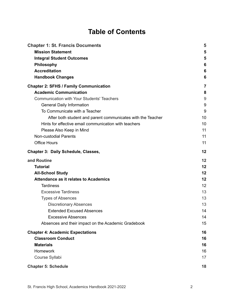### **Table of Contents**

| <b>Chapter 1: St. Francis Documents</b>                     | 5  |
|-------------------------------------------------------------|----|
| <b>Mission Statement</b>                                    | 5  |
| <b>Integral Student Outcomes</b>                            | 5  |
| Philosophy                                                  | 6  |
| <b>Accreditation</b>                                        | 6  |
| <b>Handbook Changes</b>                                     | 6  |
| <b>Chapter 2: SFHS / Family Communication</b>               | 7  |
| <b>Academic Communication</b>                               | 8  |
| <b>Communication with Your Students' Teachers</b>           | 9  |
| <b>General Daily Information</b>                            | 9  |
| To Communicate with a Teacher                               | 9  |
| After both student and parent communicates with the Teacher | 10 |
| Hints for effective email communication with teachers       | 10 |
| Please Also Keep in Mind                                    | 11 |
| <b>Non-custodial Parents</b>                                | 11 |
| <b>Office Hours</b>                                         | 11 |
| Chapter 3: Daily Schedule, Classes,                         | 12 |
| and Routine                                                 | 12 |
| <b>Tutorial</b>                                             | 12 |
| <b>All-School Study</b>                                     | 12 |
| <b>Attendance as it relates to Academics</b>                | 12 |
| <b>Tardiness</b>                                            | 12 |
| <b>Excessive Tardiness</b>                                  | 13 |
| <b>Types of Absences</b>                                    | 13 |
| <b>Discretionary Absences</b>                               | 13 |
| <b>Extended Excused Absences</b>                            | 14 |
| <b>Excessive Absences</b>                                   | 14 |
| Absences and their impact on the Academic Gradebook         | 15 |
| <b>Chapter 4: Academic Expectations</b>                     | 16 |
| <b>Classroom Conduct</b>                                    | 16 |
| <b>Materials</b>                                            | 16 |
| <b>Homework</b>                                             | 16 |
| Course Syllabi                                              | 17 |
| <b>Chapter 5: Schedule</b>                                  | 18 |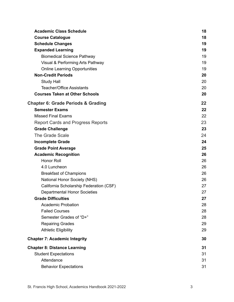| <b>Academic Class Schedule</b>                | 18 |
|-----------------------------------------------|----|
| <b>Course Catalogue</b>                       | 18 |
| <b>Schedule Changes</b>                       | 19 |
| <b>Expanded Learning</b>                      | 19 |
| <b>Biomedical Science Pathway</b>             | 19 |
| Visual & Performing Arts Pathway              | 19 |
| <b>Online Learning Opportunities</b>          | 19 |
| <b>Non-Credit Periods</b>                     | 20 |
| <b>Study Hall</b>                             | 20 |
| <b>Teacher/Office Assistants</b>              | 20 |
| <b>Courses Taken at Other Schools</b>         | 20 |
| <b>Chapter 6: Grade Periods &amp; Grading</b> | 22 |
| <b>Semester Exams</b>                         | 22 |
| <b>Missed Final Exams</b>                     | 22 |
| <b>Report Cards and Progress Reports</b>      | 23 |
| <b>Grade Challenge</b>                        | 23 |
| The Grade Scale                               | 24 |
| <b>Incomplete Grade</b>                       | 24 |
| <b>Grade Point Average</b>                    | 25 |
| <b>Academic Recognition</b>                   | 26 |
| <b>Honor Roll</b>                             | 26 |
| 4.0 Luncheon                                  | 26 |
| <b>Breakfast of Champions</b>                 | 26 |
| National Honor Society (NHS)                  | 26 |
| California Scholarship Federation (CSF)       | 27 |
| <b>Departmental Honor Societies</b>           | 27 |
| <b>Grade Difficulties</b>                     | 27 |
| <b>Academic Probation</b>                     | 28 |
| <b>Failed Courses</b>                         | 28 |
| Semester Grades of "D+"                       | 28 |
| <b>Repairing Grades</b>                       | 29 |
| <b>Athletic Eligibility</b>                   | 29 |
| <b>Chapter 7: Academic Integrity</b>          | 30 |
| <b>Chapter 8: Distance Learning</b>           | 31 |
| <b>Student Expectations</b>                   | 31 |
| Attendance                                    | 31 |
| <b>Behavior Expectations</b>                  | 31 |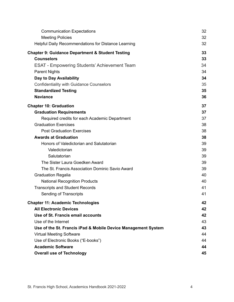| <b>Communication Expectations</b>                             | 32 |
|---------------------------------------------------------------|----|
| <b>Meeting Policies</b>                                       | 32 |
| <b>Helpful Daily Recommendations for Distance Learning</b>    | 32 |
| <b>Chapter 9: Guidance Department &amp; Student Testing</b>   | 33 |
| <b>Counselors</b>                                             | 33 |
| <b>ESAT - Empowering Students' Achievement Team</b>           | 34 |
| <b>Parent Nights</b>                                          | 34 |
| Day to Day Availability                                       | 34 |
| <b>Confidentiality with Guidance Counselors</b>               | 35 |
| <b>Standardized Testing</b>                                   | 35 |
| <b>Naviance</b>                                               | 36 |
| <b>Chapter 10: Graduation</b>                                 | 37 |
| <b>Graduation Requirements</b>                                | 37 |
| Required credits for each Academic Department                 | 37 |
| <b>Graduation Exercises</b>                                   | 38 |
| <b>Post Graduation Exercises</b>                              | 38 |
| <b>Awards at Graduation</b>                                   | 38 |
| Honors of Valedictorian and Salutatorian                      | 39 |
| Valedictorian                                                 | 39 |
| Salutatorian                                                  | 39 |
| The Sister Laura Goedken Award                                | 39 |
| The St. Francis Association Dominic Savio Award               | 39 |
| <b>Graduation Regalia</b>                                     | 40 |
| <b>National Recognition Products</b>                          | 40 |
| <b>Transcripts and Student Records</b>                        | 41 |
| Sending of Transcripts                                        | 41 |
| <b>Chapter 11: Academic Technologies</b>                      | 42 |
| <b>All Electronic Devices</b>                                 | 42 |
| Use of St. Francis email accounts                             | 42 |
| Use of the Internet                                           | 43 |
| Use of the St. Francis iPad & Mobile Device Management System | 43 |
| <b>Virtual Meeting Software</b>                               | 44 |
| Use of Electronic Books ("E-books")                           | 44 |
| <b>Academic Software</b>                                      | 44 |
| <b>Overall use of Technology</b>                              | 45 |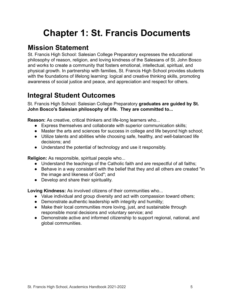## <span id="page-4-0"></span>**Chapter 1: St. Francis Documents**

### <span id="page-4-1"></span>**Mission Statement**

St. Francis High School: Salesian College Preparatory expresses the educational philosophy of reason, religion, and loving kindness of the Salesians of St. John Bosco and works to create a community that fosters emotional, intellectual, spiritual, and physical growth. In partnership with families, St. Francis High School provides students with the foundations of lifelong learning: logical and creative thinking skills, promoting awareness of social justice and peace, and appreciation and respect for others.

### <span id="page-4-2"></span>**Integral Student Outcomes**

St. Francis High School: Salesian College Preparatory **graduates are guided by St. John Bosco's Salesian philosophy of life. They are committed to...**

**Reason:** As creative, critical thinkers and life-long learners who...

- Express themselves and collaborate with superior communication skills;
- Master the arts and sciences for success in college and life beyond high school;
- Utilize talents and abilities while choosing safe, healthy, and well-balanced life decisions; and
- Understand the potential of technology and use it responsibly.

**Religion:** As responsible, spiritual people who...

- Understand the teachings of the Catholic faith and are respectful of all faiths;
- Behave in a way consistent with the belief that they and all others are created "in the image and likeness of God"; and
- Develop and share their spirituality.

**Loving Kindness:** As involved citizens of their communities who...

- Value individual and group diversity and act with compassion toward others;
- Demonstrate authentic leadership with integrity and humility;
- Make their local communities more loving, just, and sustainable through responsible moral decisions and voluntary service; and
- Demonstrate active and informed citizenship to support regional, national, and global communities.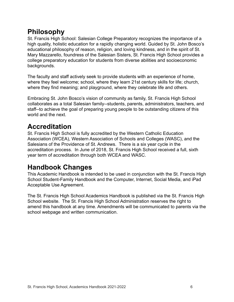### <span id="page-5-0"></span>**Philosophy**

St. Francis High School: Salesian College Preparatory recognizes the importance of a high quality, holistic education for a rapidly changing world. Guided by St. John Bosco's educational philosophy of reason, religion, and loving kindness, and in the spirit of St. Mary Mazzarello, foundress of the Salesian Sisters, St. Francis High School provides a college preparatory education for students from diverse abilities and socioeconomic backgrounds.

The faculty and staff actively seek to provide students with an experience of home, where they feel welcome; school, where they learn 21st century skills for life; church, where they find meaning; and playground, where they celebrate life and others.

Embracing St. John Bosco's vision of community as family, St. Francis High School collaborates as a total Salesian family--students, parents, administrators, teachers, and staff--to achieve the goal of preparing young people to be outstanding citizens of this world and the next.

### <span id="page-5-1"></span>**Accreditation**

St. Francis High School is fully accredited by the Western Catholic Education Association (WCEA), Western Association of Schools and Colleges (WASC), and the Salesians of the Providence of St. Andrews. There is a six year cycle in the accreditation process. In June of 2018, St. Francis High School received a full, sixth year term of accreditation through both WCEA and WASC.

### <span id="page-5-2"></span>**Handbook Changes**

This Academic Handbook is intended to be used in conjunction with the St. Francis High School Student-Family Handbook and the Computer, Internet, Social Media, and iPad Acceptable Use Agreement.

The St. Francis High School Academics Handbook is published via the St. Francis High School website. The St. Francis High School Administration reserves the right to amend this handbook at any time. Amendments will be communicated to parents via the school webpage and written communication.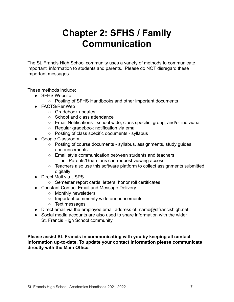## **Chapter 2: SFHS / Family Communication**

<span id="page-6-0"></span>The St. Francis High School community uses a variety of methods to communicate important information to students and parents. Please do NOT disregard these important messages.

These methods include:

- SFHS Website
	- Posting of SFHS Handbooks and other important documents
- FACTS/RenWeb
	- Gradebook updates
	- School and class attendance
	- Email Notifications school wide, class specific, group, and/or individual
	- Regular gradebook notification via email
	- Posting of class specific documents syllabus
- Google Classroom
	- Posting of course documents syllabus, assignments, study guides, announcements
	- Email style communication between students and teachers
		- Parents/Guardians can request viewing access
	- Teachers also use this software platform to collect assignments submitted digitally
- Direct Mail via USPS
	- Semester report cards, letters, honor roll certificates
- Constant Contact Email and Message Delivery
	- Monthly newsletters
	- Important community wide announcements
	- Text messages
- Direct email via the employee email address of [name@stfrancishigh.net](mailto:name@stfrancishigh.net)
- Social media accounts are also used to share information with the wider St. Francis High School community

**Please assist St. Francis in communicating with you by keeping all contact information up-to-date. To update your contact information please communicate directly with the Main Office.**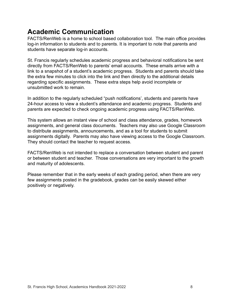### <span id="page-7-0"></span>**Academic Communication**

FACTS/RenWeb is a home to school based collaboration tool. The main office provides log-in information to students and to parents. It is important to note that parents and students have separate log-in accounts.

St. Francis regularly schedules academic progress and behavioral notifications be sent directly from FACTS/RenWeb to parents' email accounts. These emails arrive with a link to a snapshot of a student's academic progress. Students and parents should take the extra few minutes to click into the link and then directly to the additional details regarding specific assignments. These extra steps help avoid incomplete or unsubmitted work to remain.

In addition to the regularly scheduled "push notifications', students and parents have 24-hour access to view a student's attendance and academic progress. Students and parents are expected to check ongoing academic progress using FACTS/RenWeb.

This system allows an instant view of school and class attendance, grades, homework assignments, and general class documents. Teachers may also use Google Classroom to distribute assignments, announcements, and as a tool for students to submit assignments digitally. Parents may also have viewing access to the Google Classroom. They should contact the teacher to request access.

FACTS/RenWeb is not intended to replace a conversation between student and parent or between student and teacher. Those conversations are very important to the growth and maturity of adolescents.

Please remember that in the early weeks of each grading period, when there are very few assignments posted in the gradebook, grades can be easily skewed either positively or negatively.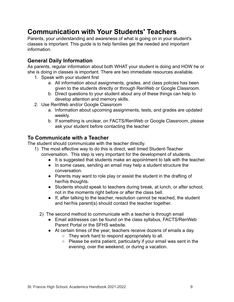### <span id="page-8-0"></span>**Communication with Your Students' Teachers**

Parents, your understanding and awareness of what is going on in your student's classes is important. This guide is to help families get the needed and important information.

#### <span id="page-8-1"></span>**General Daily Information**

As parents, regular information about both WHAT your student is doing and HOW he or she is doing in classes is important. There are two immediate resources available.

- 1. Speak with your student first
	- a. All information about assignments, grades, and class policies has been given to the students directly or through RenWeb or Google Classroom.
	- b. Direct questions to your student about any of these things can help to develop attention and memory skills.
- 2. Use RenWeb and/or Google Classroom
	- a. Information about upcoming assignments, tests, and grades are updated weekly.
	- b. If something is unclear, on FACTS/RenWeb or Google Classroom, please ask your student before contacting the teacher

#### <span id="page-8-2"></span>**To Communicate with a Teacher**

The student should communicate with the teacher directly.

- 1) The most effective way to do this is direct, well timed Student-Teacher
	- conversation. This step is very important for the development of students.
		- It is suggested that students make an appointment to talk with the teacher.
		- In some cases, sending an email may help a student structure the conversation.
		- Parents may want to role play or assist the student in the drafting of her/his thoughts.
		- Students should speak to teachers during break, at lunch, or after school, not in the moments right before or after the class bell.
		- If, after talking to the teacher, resolution cannot be reached, the student and her/his parent(s) should contact the teacher together.
	- 2) The second method to communicate with a teacher is through email
		- Email addresses can be found on the class syllabus, FACTS/RenWeb Parent Portal or the SFHS website.
		- At certain times of the year, teachers receive dozens of emails a day.
			- They work hard to respond appropriately to all.
			- Please be extra patient, particularly if your email was sent in the evening, over the weekend, or during a vacation.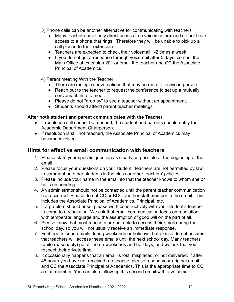- 3) Phone calls can be another alternative for communicating with teachers
	- Many teachers have only direct access to a voicemail box and do not have access to a phone that rings. Therefore they will be unable to pick up a call placed to their extension.
	- Teachers are expected to check their voicemail 1-2 times a week.
	- If you do not get a response through voicemail after 5 days, contact the Main Office at extension 201 or email the teacher and CC the Associate Principal of Academics.
- 4) Parent meeting With the Teacher
	- There are multiple conversations that may be more effective in person.
	- Reach out to the teacher to request the conference to set up a mutually convenient time to meet.
	- Please do not "drop by" to see a teacher without an appointment.
	- Students should attend parent teacher meetings

#### <span id="page-9-0"></span>**After both student and parent communicates with the Teacher**

- If resolution still cannot be reached, the student and parents should notify the Academic Department Chairperson.
- If resolution is still not reached, the Associate Principal of Academics may become involved.

#### <span id="page-9-1"></span>**Hints for effective email communication with teachers**

- 1. Please state your specific question as clearly as possible at the beginning of the email.
- 2. Please focus your questions on your student. Teachers are not permitted by law to comment on other students in the class or other teachers' policies.
- 3. Please include your name in the email so that the teacher knows to whom she or he is responding.
- 4. An administrator should not be contacted until the parent teacher communication has occurred. Please do not CC or BCC another staff member in the email. This includes the Associate Principal of Academics, Principal, etc.
- 5. If a problem should arise, please work constructively with your student's teacher to come to a resolution. We ask that email communication focus on resolution, with temperate language and the assumption of good will on the part of all.
- 6. Please know that most teachers are not able to access their email during the school day, so you will not usually receive an immediate response.
- 7. Feel free to send emails during weekends or holidays, but please do not assume that teachers will access these emails until the next school day. Many teachers (quite reasonably) go offline on weekends and holidays, and we ask that you respect their private time.
- 8. It occasionally happens that an email is lost, misplaced, or not delivered. If after 48 hours you have not received a response, please resend your original email and CC the Associate Principal of Academics. This is the appropriate time to CC a staff member. You can also follow up this second email with a voicemail.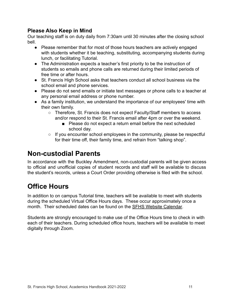#### <span id="page-10-0"></span>**Please Also Keep in Mind**

Our teaching staff is on duty daily from 7:30am until 30 minutes after the closing school bell.

- Please remember that for most of those hours teachers are actively engaged with students whether it be teaching, substituting, accompanying students during lunch, or facilitating Tutorial.
- The Administration expects a teacher's first priority to be the instruction of students so emails and phone calls are returned during their limited periods of free time or after hours.
- St. Francis High School asks that teachers conduct all school business via the school email and phone services.
- Please do not send emails or initiate text messages or phone calls to a teacher at any personal email address or phone number.
- As a family institution, we understand the importance of our employees' time with their own family.
	- Therefore, St. Francis does not expect Faculty/Staff members to access and/or respond to their St. Francis email after 4pm or over the weekend.
		- Please do not expect a return email before the next scheduled school day.
	- If you encounter school employees in the community, please be respectful for their time off, their family time, and refrain from "talking shop".

### <span id="page-10-1"></span>**Non-custodial Parents**

In accordance with the Buckley Amendment, non-custodial parents will be given access to official and unofficial copies of student records and staff will be available to discuss the student's records, unless a Court Order providing otherwise is filed with the school.

### <span id="page-10-2"></span>**Office Hours**

In addition to on campus Tutorial time, teachers will be available to meet with students during the scheduled Virtual Office Hours days. These occur approximately once a month. Their scheduled dates can be found on the [SFHS Website Calendar.](https://www.stfrancishigh.net/apps/pages/index.jsp?uREC_ID=205609&type=d&pREC_ID=1000992)

Students are strongly encouraged to make use of the Office Hours time to check in with each of their teachers. During scheduled office hours, teachers will be available to meet digitally through Zoom.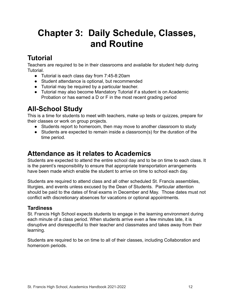## <span id="page-11-1"></span><span id="page-11-0"></span>**Chapter 3: Daily Schedule, Classes, and Routine**

### <span id="page-11-2"></span>**Tutorial**

Teachers are required to be in their classrooms and available for student help during Tutorial.

- Tutorial is each class day from 7:45-8:20am
- Student attendance is optional, but recommended
- Tutorial may be required by a particular teacher.
- Tutorial may also become Mandatory Tutorial if a student is on Academic Probation or has earned a D or F in the most recent grading period

### <span id="page-11-3"></span>**All-School Study**

This is a time for students to meet with teachers, make up tests or quizzes, prepare for their classes or work on group projects.

- Students report to homeroom, then may move to another classroom to study
- Students are expected to remain inside a classroom(s) for the duration of the time period.

### <span id="page-11-4"></span>**Attendance as it relates to Academics**

Students are expected to attend the entire school day and to be on time to each class. It is the parent's responsibility to ensure that appropriate transportation arrangements have been made which enable the student to arrive on time to school each day.

Students are required to attend class and all other scheduled St. Francis assemblies, liturgies, and events unless excused by the Dean of Students. Particular attention should be paid to the dates of final exams in December and May. Those dates must not conflict with discretionary absences for vacations or optional appointments.

#### <span id="page-11-5"></span>**Tardiness**

St. Francis High School expects students to engage in the learning environment during each minute of a class period. When students arrive even a few minutes late, it is disruptive and disrespectful to their teacher and classmates and takes away from their learning.

Students are required to be on time to all of their classes, including Collaboration and homeroom periods.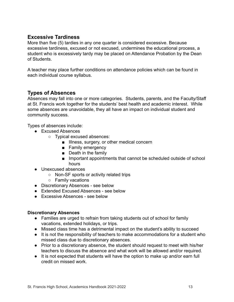#### <span id="page-12-0"></span>**Excessive Tardiness**

More than five (5) tardies in any one quarter is considered excessive. Because excessive tardiness, excused or not excused, undermines the educational process, a student who is excessively tardy may be placed on Attendance Probation by the Dean of Students.

A teacher may place further conditions on attendance policies which can be found in each individual course syllabus.

#### <span id="page-12-1"></span>**Types of Absences**

Absences may fall into one or more categories. Students, parents, and the Faculty/Staff at St. Francis work together for the students' best health and academic interest. While some absences are unavoidable, they all have an impact on individual student and community success.

Types of absences include:

- Excused Absences
	- Typical excused absences:
		- Illness, surgery, or other medical concern
		- Family emergency
		- Death in the family
		- Important appointments that cannot be scheduled outside of school hours
- Unexcused absences
	- Non-SF sports or activity related trips
	- Family vacations
- Discretionary Absences see below
- Extended Excused Absences see below
- Excessive Absences see below

#### <span id="page-12-2"></span>**Discretionary Absences**

- Families are urged to refrain from taking students out of school for family vacations, extended holidays, or trips.
- Missed class time has a detrimental impact on the student's ability to succeed
- It is not the responsibility of teachers to make accommodations for a student who missed class due to discretionary absences.
- Prior to a discretionary absence, the student should request to meet with his/her teachers to discuss the absence and what work will be allowed and/or required.
- It is not expected that students will have the option to make up and/or earn full credit on missed work.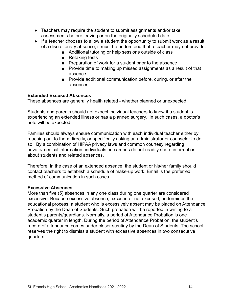- Teachers may require the student to submit assignments and/or take assessments before leaving or on the originally scheduled date.
- If a teacher chooses to allow a student the opportunity to submit work as a result of a discretionary absence, it must be understood that a teacher may not provide:
	- Additional tutoring or help sessions outside of class
	- Retaking tests
	- Preparation of work for a student prior to the absence
	- Provide time to making up missed assignments as a result of that absence
	- Provide additional communication before, during, or after the absences

#### <span id="page-13-0"></span>**Extended Excused Absences**

These absences are generally health related - whether planned or unexpected.

Students and parents should not expect individual teachers to know if a student is experiencing an extended illness or has a planned surgery. In such cases, a doctor's note will be expected.

Families should always ensure communication with each individual teacher either by reaching out to them directly, or specifically asking an administrator or counselor to do so. By a combination of HIPAA privacy laws and common courtesy regarding private/medical information, individuals on campus do not readily share information about students and related absences.

Therefore, in the case of an extended absence, the student or his/her family should contact teachers to establish a schedule of make-up work. Email is the preferred method of communication in such cases.

#### <span id="page-13-1"></span>**Excessive Absences**

More than five (5) absences in any one class during one quarter are considered excessive. Because excessive absence, excused or not excused, undermines the educational process, a student who is excessively absent may be placed on Attendance Probation by the Dean of Students. Such probation will be reported in writing to a student's parents/guardians. Normally, a period of Attendance Probation is one academic quarter in length. During the period of Attendance Probation, the student's record of attendance comes under closer scrutiny by the Dean of Students. The school reserves the right to dismiss a student with excessive absences in two consecutive quarters.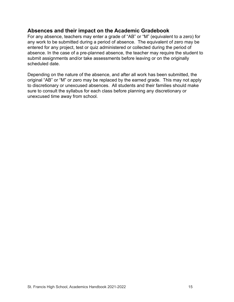#### <span id="page-14-0"></span>**Absences and their impact on the Academic Gradebook**

For any absence, teachers may enter a grade of "AB" or "M" (equivalent to a zero) for any work to be submitted during a period of absence. The equivalent of zero may be entered for any project, test or quiz administered or collected during the period of absence. In the case of a pre-planned absence, the teacher may require the student to submit assignments and/or take assessments before leaving or on the originally scheduled date.

Depending on the nature of the absence, and after all work has been submitted, the original "AB" or "M" or zero may be replaced by the earned grade. This may not apply to discretionary or unexcused absences. All students and their families should make sure to consult the syllabus for each class before planning any discretionary or unexcused time away from school.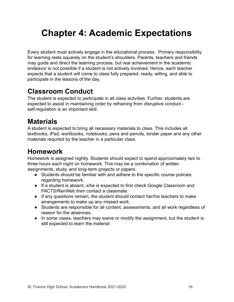## <span id="page-15-0"></span>**Chapter 4: Academic Expectations**

Every student must actively engage in the educational process. Primary responsibility for learning rests squarely on the student's shoulders. Parents, teachers and friends may guide and direct the learning process, but real achievement in the academic endeavor is not possible if a student is not actively involved. Hence, each teacher expects that a student will come to class fully prepared, ready, willing, and able to participate in the lessons of the day.

### <span id="page-15-1"></span>**Classroom Conduct**

The student is expected to participate in all class activities. Further, students are expected to assist in maintaining order by refraining from disruptive conduct self-regulation is an important skill.

### <span id="page-15-2"></span>**Materials**

A student is expected to bring all necessary materials to class. This includes all textbooks, iPad, workbooks, notebooks, pens and pencils, binder paper and any other materials required by the teacher in a particular class.

### <span id="page-15-3"></span>**Homework**

Homework is assigned nightly. Students should expect to spend approximately two to three hours each night on homework. This may be a combination of written assignments, study, and long-term projects or papers.

- Students should be familiar with and adhere to the specific course policies regarding homework.
- If a student is absent, s/he is expected to first check Google Classroom and FACTS/RenWeb then contact a classmate.
- If any questions remain, the student should contact her/his teachers to make arrangements to make up any missed work.
- Students are responsible for all content, assessments, and all work regardless of reason for the absences.
- In some cases, teachers may waive or modify the assignment, but the student is still expected to learn the material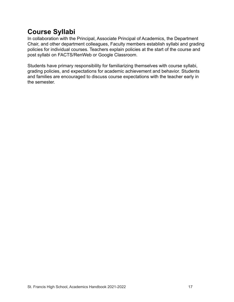### <span id="page-16-0"></span>**Course Syllabi**

In collaboration with the Principal, Associate Principal of Academics, the Department Chair, and other department colleagues, Faculty members establish syllabi and grading policies for individual courses. Teachers explain policies at the start of the course and post syllabi on FACTS/RenWeb or Google Classroom.

Students have primary responsibility for familiarizing themselves with course syllabi, grading policies, and expectations for academic achievement and behavior. Students and families are encouraged to discuss course expectations with the teacher early in the semester.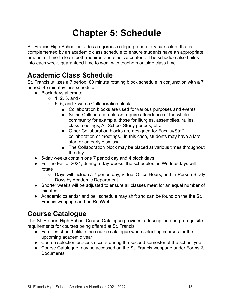## **Chapter 5: Schedule**

<span id="page-17-0"></span>St. Francis High School provides a rigorous college preparatory curriculum that is complemented by an academic class schedule to ensure students have an appropriate amount of time to learn both required and elective content. The schedule also builds into each week, guaranteed time to work with teachers outside class time.

### <span id="page-17-1"></span>**Academic Class Schedule**

St. Francis utilizes a 7 period, 80 minute rotating block schedule in conjunction with a 7 period, 45 minute/class schedule.

- Block days alternate
	- $0, 1, 2, 3,$  and 4
	- $\circ$  5, 6, and 7 with a Collaboration block
		- Collaboration blocks are used for various purposes and events
		- Some Collaboration blocks require attendance of the whole community for example, those for liturgies, assemblies, rallies, class meetings, All School Study periods, etc.
		- Other Collaboration blocks are designed for Faculty/Staff collaboration or meetings. In this case, students may have a late start or an early dismissal.
		- The Collaboration block may be placed at various times throughout the day
- 5-day weeks contain one 7 period day and 4 block days
- For the Fall of 2021, during 5-day weeks, the schedules on Wednesdays will rotate
	- Days will include a 7 period day, Virtual Office Hours, and In Person Study Days by Academic Department
- Shorter weeks will be adjusted to ensure all classes meet for an equal number of minutes
- Academic calendar and bell schedule may shift and can be found on the the St. Francis webpage and on RenWeb

### <span id="page-17-2"></span>**Course Catalogue**

The [St. Francis High School Course Catalogue](https://www.stfrancishigh.net/apps/pages/index.jsp?uREC_ID=207219&type=d&pREC_ID=457522) provides a description and prerequisite requirements for courses being offered at St. Francis.

- Families should utilize the course catalogue when selecting courses for the upcoming academic year
- Course selection process occurs during the second semester of the school year
- [Course Catalogue](https://www.stfrancishigh.net/apps/pages/index.jsp?uREC_ID=207219&type=d&pREC_ID=457522) may be accessed on the St. Francis webpage under [Forms &](https://www.stfrancishigh.net/apps/pages/index.jsp?uREC_ID=207219&type=d&pREC_ID=457522) [Documents.](https://www.stfrancishigh.net/apps/pages/index.jsp?uREC_ID=207219&type=d&pREC_ID=457522)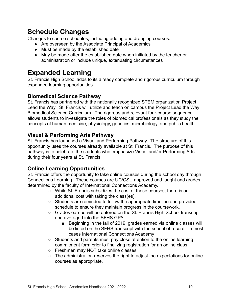### <span id="page-18-0"></span>**Schedule Changes**

Changes to course schedules, including adding and dropping courses:

- Are overseen by the Associate Principal of Academics
- Must be made by the established date
- May be made after the established date when initiated by the teacher or administration or include unique, extenuating circumstances

### <span id="page-18-1"></span>**Expanded Learning**

St. Francis High School adds to its already complete and rigorous curriculum through expanded learning opportunities.

#### <span id="page-18-2"></span>**Biomedical Science Pathway**

St. Francis has partnered with the nationally recognized STEM organization Project Lead the Way. St. Francis will utilize and teach on campus the Project Lead the Way: Biomedical Science Curriculum. The rigorous and relevant four-course sequence allows students to investigate the roles of biomedical professionals as they study the concepts of human medicine, physiology, genetics, microbiology, and public health.

#### <span id="page-18-3"></span>**Visual & Performing Arts Pathway**

St. Francis has launched a Visual and Performing Pathway. The structure of this opportunity uses the courses already available at St. Francis. The purpose of this pathway is to celebrate the students who emphasize Visual and/or Performing Arts during their four years at St. Francis.

#### <span id="page-18-4"></span>**Online Learning Opportunities**

St. Francis offers the opportunity to take online courses during the school day through Connections Learning. These courses are UC/CSU approved and taught and grades determined by the faculty of International Connections Academy.

- While St. Francis subsidizes the cost of these courses, there is an additional cost with taking the class(es).
- Students are reminded to follow the appropriate timeline and provided schedule to ensure they maintain progress in the coursework.
- Grades earned will be entered on the St. Francis High School transcript and averaged into the SFHS GPA.
	- Beginning in the fall of 2019, grades earned via online classes will be listed on the SFHS transcript with the school of record - in most cases International Connections Academy
- Students and parents must pay close attention to the online learning commitment form prior to finalizing registration for an online class.
- Freshmen may NOT take online classes
- The administration reserves the right to adjust the expectations for online courses as appropriate.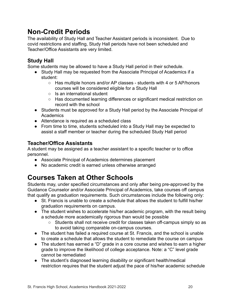### <span id="page-19-0"></span>**Non-Credit Periods**

The availability of Study Hall and Teacher Assistant periods is inconsistent. Due to covid restrictions and staffing, Study Hall periods have not been scheduled and Teacher/Office Assistants are very limited.

#### <span id="page-19-1"></span>**Study Hall**

Some students may be allowed to have a Study Hall period in their schedule.

- Study Hall may be requested from the Associate Principal of Academics if a student:
	- Has multiple honors and/or AP classes students with 4 or 5 AP/honors courses will be considered eligible for a Study Hall
	- Is an international student
	- Has documented learning differences or significant medical restriction on record with the school
- Students must be approved for a Study Hall period by the Associate Principal of **Academics**
- Attendance is required as a scheduled class
- From time to time, students scheduled into a Study Hall may be expected to assist a staff member or teacher during the scheduled Study Hall period

#### <span id="page-19-2"></span>**Teacher/Office Assistants**

A student may be assigned as a teacher assistant to a specific teacher or to office personnel.

- Associate Principal of Academics determines placement
- No academic credit is earned unless otherwise arranged

### <span id="page-19-3"></span>**Courses Taken at Other Schools**

Students may, under specified circumstances and only after being pre-approved by the Guidance Counselor and/or Associate Principal of Academics, take courses off campus that qualify as graduation requirements. Such circumstances include the following only:

- St. Francis is unable to create a schedule that allows the student to fulfill his/her graduation requirements on campus.
- The student wishes to accelerate his/her academic program, with the result being a schedule more academically rigorous than would be possible
	- Students shall not receive credit for classes taken off-campus simply so as to avoid taking comparable on-campus courses.
- The student has failed a required course at St. Francis, and the school is unable to create a schedule that allows the student to remediate the course on campus
- The student has earned a "D" grade in a core course and wishes to earn a higher grade to improve the likelihood of college acceptance. Note: a "C" level grade cannot be remediated
- The student's diagnosed learning disability or significant health/medical restriction requires that the student adjust the pace of his/her academic schedule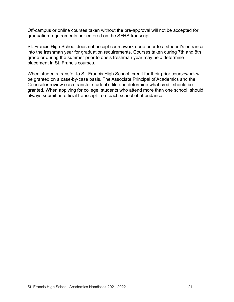Off-campus or online courses taken without the pre-approval will not be accepted for graduation requirements nor entered on the SFHS transcript.

St. Francis High School does not accept coursework done prior to a student's entrance into the freshman year for graduation requirements. Courses taken during 7th and 8th grade or during the summer prior to one's freshman year may help determine placement in St. Francis courses.

When students transfer to St. Francis High School, credit for their prior coursework will be granted on a case-by-case basis. The Associate Principal of Academics and the Counselor review each transfer student's file and determine what credit should be granted. When applying for college, students who attend more than one school, should always submit an official transcript from each school of attendance.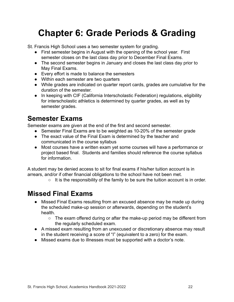## <span id="page-21-0"></span>**Chapter 6: Grade Periods & Grading**

St. Francis High School uses a two semester system for grading.

- First semester begins in August with the opening of the school year. First semester closes on the last class day prior to December Final Exams.
- The second semester begins in January and closes the last class day prior to May Final Exams.
- Every effort is made to balance the semesters
- Within each semester are two quarters
- While grades are indicated on quarter report cards, grades are cumulative for the duration of the semester.
- In keeping with CIF (California Interscholastic Federation) regulations, eligibility for interscholastic athletics is determined by quarter grades, as well as by semester grades.

### <span id="page-21-1"></span>**Semester Exams**

Semester exams are given at the end of the first and second semester.

- Semester Final Exams are to be weighted as 10-20% of the semester grade
- The exact value of the Final Exam is determined by the teacher and communicated in the course syllabus
- Most courses have a written exam yet some courses will have a performance or project based final. Students and families should reference the course syllabus for information.

A student may be denied access to sit for final exams if his/her tuition account is in arrears, and/or if other financial obligations to the school have not been met.

 $\circ$  It is the responsibility of the family to be sure the tuition account is in order.

### <span id="page-21-2"></span>**Missed Final Exams**

- Missed Final Exams resulting from an excused absence may be made up during the scheduled make-up session or afterwards, depending on the student's health.
	- The exam offered during or after the make-up period may be different from the regularly scheduled exam.
- A missed exam resulting from an unexcused or discretionary absence may result in the student receiving a score of "I" (equivalent to a zero) for the exam.
- Missed exams due to illnesses must be supported with a doctor's note.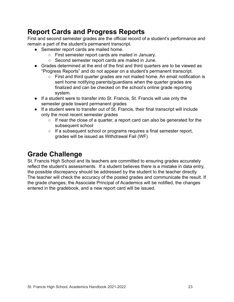### <span id="page-22-0"></span>**Report Cards and Progress Reports**

First and second semester grades are the official record of a student's performance and remain a part of the student's permanent transcript.

- Semester report cards are mailed home.
	- First semester report cards are mailed in January.
	- Second semester report cards are mailed in June.
- Grades determined at the end of the first and third quarters are to be viewed as "Progress Reports" and do not appear on a student's permanent transcript.
	- First and third quarter grades are not mailed home. An email notification is sent home notifying parents/guardians when the quarter grades are finalized and can be checked on the school's online grade reporting system.
- If a student were to transfer into St. Francis, St. Francis will use only the semester grade toward permanent grades
- If a student were to transfer out of St. Francis, their final transcript will include only the most recent semester grades
	- If near the close of a quarter, a report card can also be generated for the subsequent school
	- $\circ$  If a subsequent school or programs requires a final semester report, grades will be issued as Withdrawal Fail (WF)

### <span id="page-22-1"></span>**Grade Challenge**

St. Francis High School and its teachers are committed to ensuring grades accurately reflect the student's assessments. If a student believes there is a mistake in data entry, the possible discrepancy should be addressed by the student to the teacher directly. The teacher will check the accuracy of the posted grades and communicate the result. If the grade changes, the Associate Principal of Academics will be notified, the changes entered in the gradebook, and a new report card will be issued.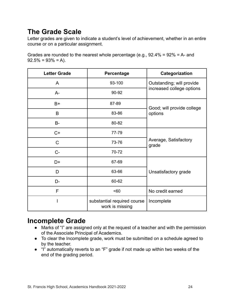### <span id="page-23-0"></span>**The Grade Scale**

Letter grades are given to indicate a student's level of achievement, whether in an entire course or on a particular assignment.

Grades are rounded to the nearest whole percentage (e.g., 92.4% = 92% = A- and  $92.5\% = 93\% = A$ ).

| <b>Letter Grade</b> | <b>Percentage</b>                              | Categorization                 |
|---------------------|------------------------------------------------|--------------------------------|
| A                   | 93-100                                         | Outstanding; will provide      |
| $A -$               | 90-92                                          | increased college options      |
| $B+$                | 87-89                                          | Good; will provide college     |
| B                   | 83-86                                          | options                        |
| $B -$               | 80-82                                          |                                |
| $C+$                | 77-79                                          |                                |
| $\mathsf C$         | 73-76                                          | Average, Satisfactory<br>grade |
| $C -$               | 70-72                                          |                                |
| D+                  | 67-69                                          |                                |
| D                   | 63-66                                          | Unsatisfactory grade           |
| D-                  | 60-62                                          |                                |
| F                   | < 60                                           | No credit earned               |
|                     | substantial required course<br>work is missing | Incomplete                     |

### <span id="page-23-1"></span>**Incomplete Grade**

- Marks of "I" are assigned only at the request of a teacher and with the permission of the Associate Principal of Academics.
- To clear the Incomplete grade, work must be submitted on a schedule agreed to by the teacher.
- "I" automatically reverts to an "F" grade if not made up within two weeks of the end of the grading period.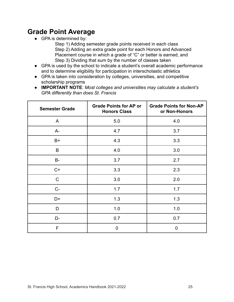### <span id="page-24-0"></span>**Grade Point Average**

• GPA is determined by:

Step 1) Adding semester grade points received in each class Step 2) Adding an extra grade point for each Honors and Advanced Placement course in which a grade of "C" or better is earned, and Step 3) Dividing that sum by the number of classes taken

- GPA is used by the school to indicate a student's overall academic performance and to determine eligibility for participation in interscholastic athletics
- GPA is taken into consideration by colleges, universities, and competitive scholarship programs
- **IMPORTANT NOTE**: *Most colleges and universities may calculate a student's GPA differently than does St. Francis*

| <b>Semester Grade</b> | <b>Grade Points for AP or</b><br><b>Honors Class</b> | <b>Grade Points for Non-AP</b><br>or Non-Honors |
|-----------------------|------------------------------------------------------|-------------------------------------------------|
| A                     | 5.0                                                  | 4.0                                             |
| $A -$                 | 4.7                                                  | 3.7                                             |
| B+                    | 4.3                                                  | 3.3                                             |
| B                     | 4.0                                                  | 3.0                                             |
| <b>B-</b>             | 3.7                                                  | 2.7                                             |
| $C+$                  | 3.3                                                  | 2.3                                             |
| $\mathsf{C}$          | 3.0                                                  | 2.0                                             |
| $C -$                 | 1.7                                                  | 1.7                                             |
| D+                    | 1.3                                                  | 1.3                                             |
| D                     | 1.0                                                  | 1.0                                             |
| D-                    | 0.7                                                  | 0.7                                             |
| F                     | 0                                                    | 0                                               |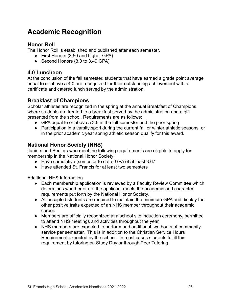### <span id="page-25-0"></span>**Academic Recognition**

#### <span id="page-25-1"></span>**Honor Roll**

The Honor Roll is established and published after each semester.

- First Honors (3.50 and higher GPA)
- Second Honors (3.0 to 3.49 GPA)

#### <span id="page-25-2"></span>**4.0 Luncheon**

At the conclusion of the fall semester, students that have earned a grade point average equal to or above a 4.0 are recognized for their outstanding achievement with a certificate and catered lunch served by the administration.

#### <span id="page-25-3"></span>**Breakfast of Champions**

Scholar athletes are recognized in the spring at the annual Breakfast of Champions where students are treated to a breakfast served by the administration and a gift presented from the school. Requirements are as follows:

- GPA equal to or above a 3.0 in the fall semester and the prior spring
- Participation in a varsity sport during the current fall or winter athletic seasons, or in the prior academic year spring athletic season qualify for this award.

#### <span id="page-25-4"></span>**National Honor Society (NHS)**

Juniors and Seniors who meet the following requirements are eligible to apply for membership in the National Honor Society:

- Have cumulative (semester to date) GPA of at least 3.67
- Have attended St. Francis for at least two semesters

Additional NHS Information

- Each membership application is reviewed by a Faculty Review Committee which determines whether or not the applicant meets the academic and character requirements put forth by the National Honor Society.
- All accepted students are required to maintain the minimum GPA and display the other positive traits expected of an NHS member throughout their academic career.
- Members are officially recognized at a school site induction ceremony, permitted to attend NHS meetings and activities throughout the year,
- NHS members are expected to perform and additional two hours of community service per semester. This is in addition to the Christian Service Hours Requirement expected by the school. In most cases students fulfill this requirement by tutoring on Study Day or through Peer Tutoring.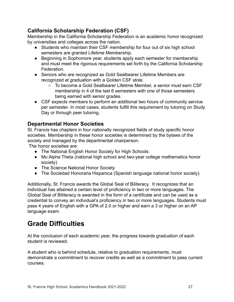#### <span id="page-26-0"></span>**California Scholarship Federation (CSF)**

Membership in the California Scholarship Federation is an academic honor recognized by universities and colleges across the nation.

- Students who maintain their CSF membership for four out of six high school semesters are granted Lifetime Membership.
- Beginning in Sophomore year, students apply each semester for membership and must meet the rigorous requirements set forth by the California Scholarship Federation.
- Seniors who are recognized as Gold Sealbearer Lifetime Members are recognized at graduation with a Golden CSF stole.
	- To become a Gold Sealbearer Lifetime Member, a senior must earn CSF membership in 4 of the last 6 semesters with one of those semesters being earned with senior grades.
- CSF expects members to perform an additional two hours of community service per semester. In most cases, students fulfill this requirement by tutoring on Study Day or through peer tutoring.

#### <span id="page-26-1"></span>**Departmental Honor Societies**

St. Francis has chapters in four nationally recognized fields of study specific honor societies. Membership in these honor societies is determined by the bylaws of the society and managed by the departmental chairperson.

The honor societies are:

- The National English Honor Society for High Schools
- Mu Alpha Theta (national high school and two-year college mathematics honor society)
- The Science National Honor Society
- The Sociedad Honoraria Hispanica (Spanish language national honor society).

Additionally, St. Francis awards the Global Seal of Biliteracy. It recognizes that an individual has attained a certain level of proficiency in two or more languages. The Global Seal of Biliteracy is awarded in the form of a certificate and can be used as a credential to convey an individual's proficiency in two or more languages. Students must pass 4 years of English with a GPA of 2.0 or higher and earn a 3 or higher on an AP language exam.

### <span id="page-26-2"></span>**Grade Difficulties**

At the conclusion of each academic year, the progress towards graduation of each student is reviewed.

A student who is behind schedule, relative to graduation requirements, must demonstrate a commitment to recover credits as well as a commitment to pass current courses.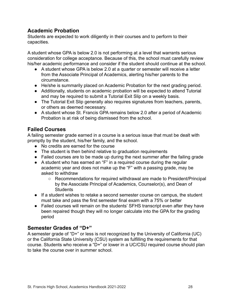#### <span id="page-27-0"></span>**Academic Probation**

Students are expected to work diligently in their courses and to perform to their capacities.

A student whose GPA is below 2.0 is not performing at a level that warrants serious consideration for college acceptance. Because of this, the school must carefully review his/her academic performance and consider if the student should continue at the school.

- A student whose GPA is below 2.0 at a quarter or semester will receive a letter from the Associate Principal of Academics, alerting his/her parents to the circumstance.
- He/she is summarily placed on Academic Probation for the next grading period.
- Additionally, students on academic probation will be expected to attend Tutorial and may be required to submit a Tutorial Exit Slip on a weekly basis.
- The Tutorial Exit Slip generally also requires signatures from teachers, parents, or others as deemed necessary.
- A student whose St. Francis GPA remains below 2.0 after a period of Academic Probation is at risk of being dismissed from the school.

#### <span id="page-27-1"></span>**Failed Courses**

A failing semester grade earned in a course is a serious issue that must be dealt with promptly by the student, his/her family, and the school.

- No credits are earned for the course
- The student is then behind relative to graduation requirements
- Failed courses are to be made up during the next summer after the failing grade
- A student who has earned an "F" in a required course during the regular academic year and does not make up the "F" with a passing grade, may be asked to withdraw
	- Recommendations for required withdrawal are made to President/Principal by the Associate Principal of Academics, Counselor(s), and Dean of **Students**
- If a student wishes to retake a second semester course on campus, the student must take and pass the first semester final exam with a 75% or better
- Failed courses will remain on the students' SFHS transcript even after they have been repaired though they will no longer calculate into the GPA for the grading period

#### <span id="page-27-2"></span>**Semester Grades of "D+"**

A semester grade of "D+" or less is not recognized by the University of California (UC) or the California State University (CSU) system as fulfilling the requirements for that course. Students who receive a "D+" or lower in a UC/CSU required course should plan to take the course over in summer school.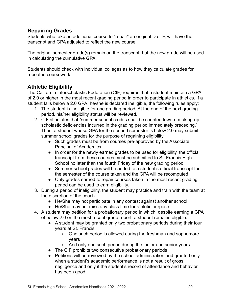#### <span id="page-28-0"></span>**Repairing Grades**

Students who take an additional course to "repair" an original D or F, will have their transcript and GPA adjusted to reflect the new course.

The original semester grade(s) remain on the transcript, but the new grade will be used in calculating the cumulative GPA.

Students should check with individual colleges as to how they calculate grades for repeated coursework.

#### <span id="page-28-1"></span>**Athletic Eligibility**

The California Interscholastic Federation (CIF) requires that a student maintain a GPA of 2.0 or higher in the most recent grading period in order to participate in athletics. If a student falls below a 2.0 GPA, he/she is declared ineligible, the following rules apply:

- 1. The student is ineligible for one grading period. At the end of the next grading period, his/her eligibility status will be reviewed.
- 2. CIF stipulates that "summer school credits shall be counted toward making-up scholastic deficiencies incurred in the grading period immediately preceding." Thus, a student whose GPA for the second semester is below 2.0 may submit summer school grades for the purpose of regaining eligibility.
	- Such grades must be from courses pre-approved by the Associate Principal of Academics
	- In order for the newly earned grades to be used for eligibility, the official transcript from these courses must be submitted to St. Francis High School no later than the fourth Friday of the new grading period.
	- Summer school grades will be added to a student's official transcript for the semester of the course taken and the GPA will be recomputed.
	- Only grades earned to repair courses taken in the most recent grading period can be used to earn eligibility.
- 3. During a period of ineligibility, the student may practice and train with the team at the discretion of the coach.
	- He/She may not participate in any contest against another school
	- He/She may not miss any class time for athletic purpose
- 4. A student may petition for a probationary period in which, despite earning a GPA of below 2.0 on the most recent grade report, a student remains eligible.
	- A student may be granted only two probationary periods during their four years at St. Francis
		- One such period is allowed during the freshman and sophomore years
		- And only one such period during the junior and senior years
	- The CIF prohibits two consecutive probationary periods
	- Petitions will be reviewed by the school administration and granted only when a student's academic performance is not a result of gross negligence and only if the student's record of attendance and behavior has been good.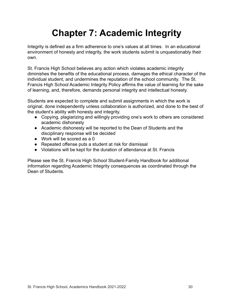## **Chapter 7: Academic Integrity**

<span id="page-29-0"></span>Integrity is defined as a firm adherence to one's values at all times. In an educational environment of honesty and integrity, the work students submit is unquestionably their own.

St. Francis High School believes any action which violates academic integrity diminishes the benefits of the educational process, damages the ethical character of the individual student, and undermines the reputation of the school community. The St. Francis High School Academic Integrity Policy affirms the value of learning for the sake of learning, and, therefore, demands personal integrity and intellectual honesty.

Students are expected to complete and submit assignments in which the work is original, done independently unless collaboration is authorized, and done to the best of the student's ability with honesty and integrity.

- Copying, plagiarizing and willingly providing one's work to others are considered academic dishonesty
- Academic dishonesty will be reported to the Dean of Students and the disciplinary response will be decided
- Work will be scored as a 0
- Repeated offense puts a student at risk for dismissal
- Violations will be kept for the duration of attendance at St. Francis

Please see the St. Francis High School Student-Family Handbook for additional information regarding Academic Integrity consequences as coordinated through the Dean of Students.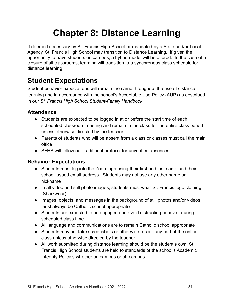## **Chapter 8: Distance Learning**

<span id="page-30-0"></span>If deemed necessary by St. Francis High School or mandated by a State and/or Local Agency, St. Francis High School may transition to Distance Learning. If given the opportunity to have students on campus, a hybrid model will be offered. In the case of a closure of all classrooms, learning will transition to a synchronous class schedule for distance learning.

### <span id="page-30-1"></span>**Student Expectations**

Student behavior expectations will remain the same throughout the use of distance learning and in accordance with the school's Acceptable Use Policy (AUP) as described in our *St. Francis High School Student-Family Handbook*.

#### <span id="page-30-2"></span>**Attendance**

- Students are expected to be logged in at or before the start time of each scheduled classroom meeting and remain in the class for the entire class period unless otherwise directed by the teacher
- Parents of students who will be absent from a class or classes must call the main office
- SFHS will follow our traditional protocol for unverified absences

#### <span id="page-30-3"></span>**Behavior Expectations**

- Students must log into the Zoom app using their first and last name and their school issued email address. Students may not use any other name or nickname
- In all video and still photo images, students must wear St. Francis logo clothing (Sharkwear)
- Images, objects, and messages in the background of still photos and/or videos must always be Catholic school appropriate
- Students are expected to be engaged and avoid distracting behavior during scheduled class time
- All language and communications are to remain Catholic school appropriate
- Students may not take screenshots or otherwise record any part of the online class unless otherwise directed by the teacher
- All work submitted during distance learning should be the student's own. St. Francis High School students are held to standards of the school's Academic Integrity Policies whether on campus or off campus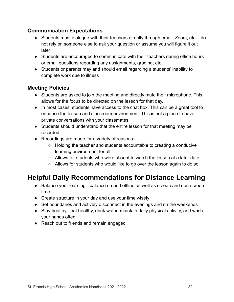#### <span id="page-31-0"></span>**Communication Expectations**

- Students must dialogue with their teachers directly through email, Zoom, etc. do not rely on someone else to ask your question or assume you will figure it out later
- Students are encouraged to communicate with their teachers during office hours or email questions regarding any assignments, grading, etc.
- Students or parents may and should email regarding a students' inability to complete work due to illness

#### <span id="page-31-1"></span>**Meeting Policies**

- Students are asked to join the meeting and directly mute their microphone. This allows for the focus to be directed on the lesson for that day.
- In most cases, students have access to the chat box. This can be a great tool to enhance the lesson and classroom environment. This is not a place to have private conversations with your classmates.
- Students should understand that the entire lesson for that meeting may be recorded
- Recordings are made for a variety of reasons:
	- $\circ$  Holding the teacher and students accountable to creating a conducive learning environment for all.
	- Allows for students who were absent to watch the lesson at a later date.
	- $\circ$  Allows for students who would like to go over the lesson again to do so.

### <span id="page-31-2"></span>**Helpful Daily Recommendations for Distance Learning**

- Balance your learning balance on and offline as well as screen and non-screen time
- Create structure in your day and use your time wisely
- Set boundaries and actively disconnect in the evenings and on the weekends
- Stay healthy eat healthy, drink water, maintain daily physical activity, and wash your hands often
- Reach out to friends and remain engaged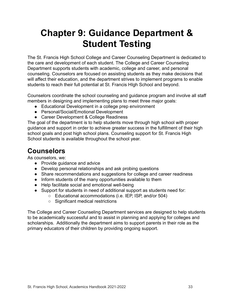## **Chapter 9: Guidance Department & Student Testing**

<span id="page-32-0"></span>The St. Francis High School College and Career Counseling Department is dedicated to the care and development of each student. The College and Career Counseling Department supports students with academic, college and career, and personal counseling. Counselors are focused on assisting students as they make decisions that will affect their education, and the department strives to implement programs to enable students to reach their full potential at St. Francis HIgh School and beyond.

Counselors coordinate the school counseling and guidance program and involve all staff members in designing and implementing plans to meet three major goals:

- Educational Development in a college prep environment
- Personal/Social/Emotional Development
- Career Development & College Readiness

The goal of the department is to help students move through high school with proper guidance and support in order to achieve greater success in the fulfillment of their high school goals and post high school plans. Counseling support for St. Francis High School students is available throughout the school year.

### <span id="page-32-1"></span>**Counselors**

As counselors, we:

- Provide quidance and advice
- Develop personal relationships and ask probing questions
- Share recommendations and suggestions for college and career readiness
- Inform students of the many opportunities available to them
- Help facilitate social and emotional well-being
- Support for students in need of additional support as students need for:
	- Educational accommodations (i.e. IEP, ISP, and/or 504)
	- Significant medical restrictions

The College and Career Counseling Department services are designed to help students to be academically successful and to assist in planning and applying for colleges and scholarships. Additionally the department aims to support parents in their role as the primary educators of their children by providing ongoing support.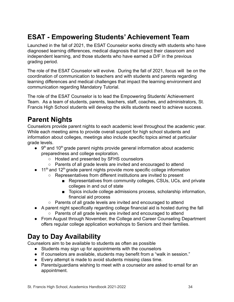### <span id="page-33-0"></span>**ESAT - Empowering Students' Achievement Team**

Launched in the fall of 2021, the ESAT Counselor works directly with students who have diagnosed learning differences, medical diagnosis that impact their classroom and independent learning, and those students who have earned a D/F in the previous grading period.

The role of the ESAT Counselor will evolve. During the fall of 2021, focus will be on the coordination of communication to teachers and with students and parents regarding learning differences and medical challenges that impact the learning environment and communication regarding Mandatory Tutorial.

The role of the ESAT Counselor is to lead the Empowering Students' Achievement Team. As a team of students, parents, teachers, staff, coaches, and administrators, St. Francis High School students will develop the skills students need to achieve success.

### <span id="page-33-1"></span>**Parent Nights**

Counselors provide parent nights to each academic level throughout the academic year. While each meeting aims to provide overall support for high school students and information about colleges, meetings also include specific topics aimed at particular grade levels.

- $\bullet$  9<sup>th</sup> and 10<sup>th</sup> grade parent nights provide general information about academic preparedness and college exploration.
	- Hosted and presented by SFHS counselors
	- Parents of all grade levels are invited and encouraged to attend
- $\bullet$  11<sup>th</sup> and 12<sup>th</sup> grade parent nights provide more specific college information
	- Representatives from different institutions are invited to present
		- Representatives from community colleges, CSUs, UCs, and private colleges in and out of state
		- Topics include college admissions process, scholarship information, financial aid process
	- Parents of all grade levels are invited and encouraged to attend
- A parent night specifically regarding college financial aid is hosted during the fall ○ Parents of all grade levels are invited and encouraged to attend
- From August through November, the College and Career Counseling Department offers regular college application workshops to Seniors and their families.

### <span id="page-33-2"></span>**Day to Day Availability**

Counselors aim to be available to students as often as possible

- Students may sign up for appointments with the counselors
- If counselors are available, students may benefit from a "walk in session."
- Every attempt is made to avoid students missing class time.
- Parents/guardians wishing to meet with a counselor are asked to email for an appointment.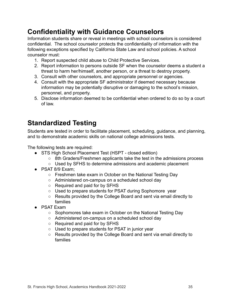### <span id="page-34-0"></span>**Confidentiality with Guidance Counselors**

Information students share or reveal in meetings with school counselors is considered confidential. The school counselor protects the confidentiality of information with the following exceptions specified by California State Law and school policies. A school counselor must:

- 1. Report suspected child abuse to Child Protective Services.
- 2. Report information to persons outside SF when the counselor deems a student a threat to harm her/himself, another person, or a threat to destroy property.
- 3. Consult with other counselors, and appropriate personnel or agencies.
- 4. Consult with the appropriate SF administrator if deemed necessary because information may be potentially disruptive or damaging to the school's mission, personnel, and property.
- 5. Disclose information deemed to be confidential when ordered to do so by a court of law.

### <span id="page-34-1"></span>**Standardized Testing**

Students are tested in order to facilitate placement, scheduling, guidance, and planning, and to demonstrate academic skills on national college admissions tests.

The following tests are required:

- STS High School Placement Test (HSPT closed edition)
	- 8th Graders/Freshmen applicants take the test in the admissions process
	- Used by SFHS to determine admissions and academic placement
- PSAT 8/9 Exam;
	- Freshmen take exam in October on the National Testing Day
	- Administered on-campus on a scheduled school day
	- Required and paid for by SFHS
	- Used to prepare students for PSAT during Sophomore year
	- Results provided by the College Board and sent via email directly to families
- PSAT Exam
	- Sophomores take exam in October on the National Testing Day
	- Administered on-campus on a scheduled school day
	- Required and paid for by SFHS
	- Used to prepare students for PSAT in junior year
	- Results provided by the College Board and sent via email directly to families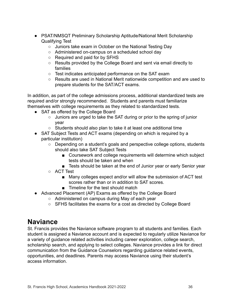- PSAT/NMSQT Preliminary Scholarship Aptitude/National Merit Scholarship Qualifying Test
	- Juniors take exam in October on the National Testing Day
	- Administered on-campus on a scheduled school day
	- Required and paid for by SFHS
	- Results provided by the College Board and sent via email directly to families
	- Test indicates anticipated performance on the SAT exam
	- Results are used in National Merit nationwide competition and are used to prepare students for the SAT/ACT exams.

In addition, as part of the college admissions process, additional standardized tests are required and/or strongly recommended. Students and parents must familiarize themselves with college requirements as they related to standardized tests.

- SAT as offered by the College Board
	- Juniors are urged to take the SAT during or prior to the spring of junior year
	- Students should also plan to take it at least one additional time
- SAT Subject Tests and ACT exams (depending on which is required by a particular institution)
	- Depending on a student's goals and perspective college options, students should also take SAT Subject Tests
		- Coursework and college requirements will determine which subject tests should be taken and when
		- Tests should be taken at the end of Junior year or early Senior year
	- ACT Test
		- Many colleges expect and/or will allow the submission of ACT test scores rather than or in addition to SAT scores.
		- Timeline for the test should match
- Advanced Placement (AP) Exams as offered by the College Board
	- Administered on campus during May of each year
		- SFHS facilitates the exams for a cost as directed by College Board

### <span id="page-35-0"></span>**Naviance**

St. Francis provides the Naviance software program to all students and families. Each student is assigned a Naviance account and is expected to regularly utilize Naviance for a variety of guidance related activities including career exploration, college search, scholarship search, and applying to select colleges. Naviance provides a link for direct communication from the Guidance Counselors regarding guidance related events, opportunities, and deadlines. Parents may access Naviance using their student's access information.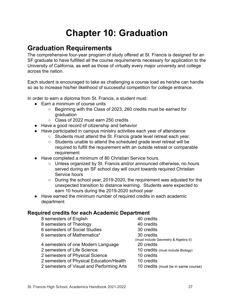## **Chapter 10: Graduation**

### <span id="page-36-1"></span><span id="page-36-0"></span>**Graduation Requirements**

The comprehensive four-year program of study offered at St. Francis is designed for an SF graduate to have fulfilled all the course requirements necessary for application to the University of California, as well as those of virtually every major university and college across the nation.

Each student is encouraged to take as challenging a course load as he/she can handle so as to increase his/her likelihood of successful competition for college entrance.

In order to earn a diploma from St. Francis, a student must:

- Farn a minimum of course units
	- Beginning with the Class of 2023, 260 credits must be earned for graduation
	- Class of 2022 must earn 250 credits
- Have a good record of citizenship and behavior
- Have participated in campus ministry activities each year of attendance
	- Students must attend the St. Francis grade level retreat each year.
	- Students unable to attend the scheduled grade level retreat will be required to fulfill the requirement with an outside retreat or comparable requirement
- Have completed a minimum of 80 Christian Service hours.
	- Unless organized by St. Francis and/or announced otherwise, no hours served during an SF school day will count towards required Christian Service hours
	- $\circ$  During the school year, 2019-2020, the requirement was adjusted for the unexpected transition to distance learning. Students were expected to earn 10 hours during the 2019-2020 school year
- Have earned the minimum number of required credits in each academic department

#### <span id="page-36-2"></span>**Required credits for each Academic Department**

| 8 semesters of English                    | 40 credits                           |
|-------------------------------------------|--------------------------------------|
| 8 semesters of Theology                   | 40 credits                           |
| 6 semesters of Social Studies             | 30 credits                           |
| 6 semesters of Mathematics*               | 30 credits                           |
|                                           | (must include Geometry & Algebra II) |
| 4 semesters of one Modern Language        | 20 credits                           |
| 2 semesters of Life Science               | 10 credits (must include Biology)    |
| 2 semesters of Physical Science           | 10 credits                           |
| 2 semesters of Physical Education/Health  | 10 credits                           |
| 2 semesters of Visual and Performing Arts | 10 credits (must be in same course)  |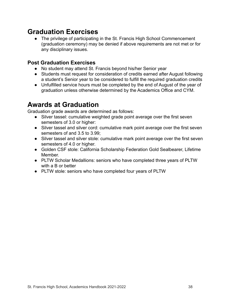### <span id="page-37-0"></span>**Graduation Exercises**

● The privilege of participating in the St. Francis High School Commencement (graduation ceremony) may be denied if above requirements are not met or for any disciplinary issues.

#### <span id="page-37-1"></span>**Post Graduation Exercises**

- No student may attend St. Francis beyond his/her Senior year
- Students must request for consideration of credits earned after August following a student's Senior year to be considered to fulfill the required graduation credits
- Unfulfilled service hours must be completed by the end of August of the year of graduation unless otherwise determined by the Academics Office and CYM.

### <span id="page-37-2"></span>**Awards at Graduation**

Graduation grade awards are determined as follows:

- Silver tassel: cumulative weighted grade point average over the first seven semesters of 3.0 or higher:
- Silver tassel and silver cord: cumulative mark point average over the first seven semesters of and 3.5 to 3.99;
- Silver tassel and silver stole: cumulative mark point average over the first seven semesters of 4.0 or higher.
- Golden CSF stole: California Scholarship Federation Gold Sealbearer, Lifetime Member.
- PLTW Scholar Medallions: seniors who have completed three years of PLTW with a B or better
- PLTW stole: seniors who have completed four years of PLTW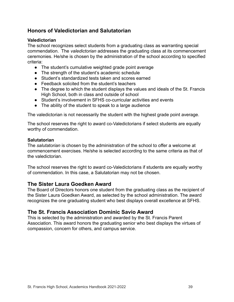#### <span id="page-38-0"></span>**Honors of Valedictorian and Salutatorian**

#### <span id="page-38-1"></span>**Valedictorian**

The school recognizes select students from a graduating class as warranting special commendation. The *valedictorian* addresses the graduating class at its commencement ceremonies. He/she is chosen by the administration of the school according to specified criteria:

- The student's cumulative weighted grade point average
- The strength of the student's academic schedule
- Student's standardized tests taken and scores earned
- Feedback solicited from the student's teachers
- The degree to which the student displays the values and ideals of the St. Francis High School, both in class and outside of school
- Student's involvement in SFHS co-curricular activities and events
- The ability of the student to speak to a large audience

The valedictorian is not necessarily the student with the highest grade point average.

The school reserves the right to award co-Valedictorians if select students are equally worthy of commendation.

#### <span id="page-38-2"></span>**Salutatorian**

The *salutatorian* is chosen by the administration of the school to offer a welcome at commencement exercises. He/she is selected according to the same criteria as that of the valedictorian.

The school reserves the right to award co-Valedictorians if students are equally worthy of commendation. In this case, a Salutatorian may not be chosen.

#### <span id="page-38-3"></span>**The Sister Laura Goedken Award**

The Board of Directors honors one student from the graduating class as the recipient of the Sister Laura Goedken Award, as selected by the school administration. The award recognizes the one graduating student who best displays overall excellence at SFHS.

#### <span id="page-38-4"></span>**The St. Francis Association Dominic Savio Award**

This is selected by the administration and awarded by the St. Francis Parent Association. This award honors the graduating senior who best displays the virtues of compassion, concern for others, and campus service.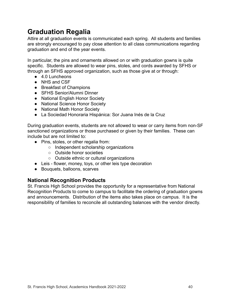### <span id="page-39-0"></span>**Graduation Regalia**

Attire at all graduation events is communicated each spring. All students and families are strongly encouraged to pay close attention to all class communications regarding graduation and end of the year events.

In particular, the pins and ornaments allowed on or with graduation gowns is quite specific. Students are allowed to wear pins, stoles, and cords awarded by SFHS or through an SFHS approved organization, such as those give at or through:

- $\bullet$  4.0 Luncheons
- NHS and CSF
- Breakfast of Champions
- SFHS Senior/Alumni Dinner
- National English Honor Society
- National Science Honor Society
- National Math Honor Society
- La Sociedad Honoraria Hispánica: Sor Juana Inés de la Cruz

During graduation events, students are not allowed to wear or carry items from non-SF sanctioned organizations or those purchased or given by their families. These can include but are not limited to:

- Pins, stoles, or other regalia from:
	- Independent scholarship organizations
	- Outside honor societies
	- Outside ethnic or cultural organizations
- Leis flower, money, toys, or other leis type decoration
- Bouquets, balloons, scarves

#### <span id="page-39-1"></span>**National Recognition Products**

St. Francis High School provides the opportunity for a representative from National Recognition Products to come to campus to facilitate the ordering of graduation gowns and announcements. Distribution of the items also takes place on campus. It is the responsibility of families to reconcile all outstanding balances with the vendor directly.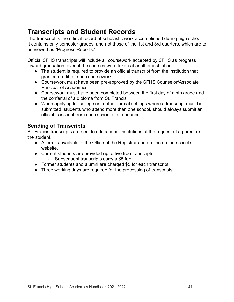### <span id="page-40-0"></span>**Transcripts and Student Records**

The transcript is the official record of scholastic work accomplished during high school. It contains only semester grades, and not those of the 1st and 3rd quarters, which are to be viewed as "Progress Reports."

Official SFHS transcripts will include all coursework accepted by SFHS as progress toward graduation, even if the courses were taken at another institution.

- The student is required to provide an official transcript from the institution that granted credit for such coursework.
- Coursework must have been pre-approved by the SFHS Counselor/Associate Principal of Academics
- Coursework must have been completed between the first day of ninth grade and the conferral of a diploma from St. Francis.
- When applying for college or in other formal settings where a transcript must be submitted, students who attend more than one school, should always submit an official transcript from each school of attendance.

#### <span id="page-40-1"></span>**Sending of Transcripts**

St. Francis transcripts are sent to educational institutions at the request of a parent or the student.

- A form is available in the Office of the Registrar and on-line on the school's website.
- Current students are provided up to five free transcripts;
	- Subsequent transcripts carry a \$5 fee.
- Former students and alumni are charged \$5 for each transcript.
- Three working days are required for the processing of transcripts.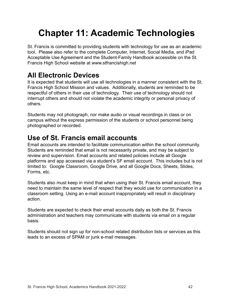## <span id="page-41-0"></span>**Chapter 11: Academic Technologies**

St. Francis is committed to providing students with technology for use as an academic tool. Please also refer to the complete Computer, Internet, Social Media, and iPad Acceptable Use Agreement and the Student-Family Handbook accessible on the St. Francis High School website at www.stfrancishigh.net

### <span id="page-41-1"></span>**All Electronic Devices**

It is expected that students will use all technologies in a manner consistent with the St. Francis High School Mission and values. Additionally, students are reminded to be respectful of others in their use of technology. Their use of technology should not interrupt others and should not violate the academic integrity or personal privacy of others.

Students may not photograph, nor make audio or visual recordings in class or on campus without the express permission of the students or school personnel being photographed or recorded.

### <span id="page-41-2"></span>**Use of St. Francis email accounts**

Email accounts are intended to facilitate communication within the school community. Students are reminded that email is not necessarily private, and may be subject to review and supervision. Email accounts and related policies include all Google platforms and app accessed via a student's SF email account. This includes but is not limited to: Google Classroom, Google Drive, and all Google Docs, Sheets, Slides, Forms, etc.

Students also must keep in mind that when using their St. Francis email account, they need to maintain the same level of respect that they would use for communication in a classroom setting. Using an e-mail account inappropriately will result in disciplinary action.

Students are expected to check their email accounts daily as both the St. Francis administration and teachers may communicate with students via email on a regular basis.

Students should not sign up for non-school related distribution lists or services as this leads to an excess of SPAM or junk e-mail messages.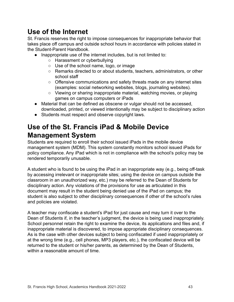### <span id="page-42-0"></span>**Use of the Internet**

St. Francis reserves the right to impose consequences for inappropriate behavior that takes place off campus and outside school hours in accordance with policies stated in the Student-Parent Handbook.

- Inappropriate use of the internet includes, but is not limited to:
	- Harassment or cyberbullying
	- Use of the school name, logo, or image
	- Remarks directed to or about students, teachers, administrators, or other school staff
	- Offensive communications and safety threats made on any internet sites (examples: social networking websites, blogs, journaling websites).
	- Viewing or sharing inappropriate material, watching movies, or playing games on campus computers or iPads
- Material that can be defined as obscene or vulgar should not be accessed, downloaded, printed, or viewed intentionally may be subject to disciplinary action
- Students must respect and observe copyright laws.

### <span id="page-42-1"></span>**Use of the St. Francis iPad & Mobile Device Management System**

Students are required to enroll their school issued iPads in the mobile device management system (MDM). This system constantly monitors school issued iPads for policy compliance. Any iPad which is not in compliance with the school's policy may be rendered temporarily unusable.

A student who is found to be using the iPad in an inappropriate way (e.g., being off-task by accessing irrelevant or inappropriate sites; using the device on campus outside the classroom in an unauthorized way, etc.) may be referred to the Dean of Students for disciplinary action. Any violations of the provisions for use as articulated in this document may result in the student being denied use of the iPad on campus; the student is also subject to other disciplinary consequences if other of the school's rules and policies are violated.

A teacher may confiscate a student's iPad for just cause and may turn it over to the Dean of Students if, in the teacher's judgment, the device is being used inappropriately. School personnel retain the right to examine the device, its applications and files and, if inappropriate material is discovered, to impose appropriate disciplinary consequences. As is the case with other devices subject to being confiscated if used inappropriately or at the wrong time (e.g., cell phones, MP3 players, etc.), the confiscated device will be returned to the student or his/her parents, as determined by the Dean of Students, within a reasonable amount of time.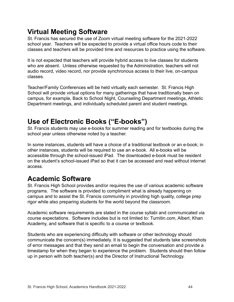### <span id="page-43-0"></span>**Virtual Meeting Software**

St. Francis has secured the use of Zoom virtual meeting software for the 2021-2022 school year. Teachers will be expected to provide a virtual office hours code to their classes and teachers will be provided time and resources to practice using the software.

It is not expected that teachers will provide hybrid access to live classes for students who are absent. Unless otherwise requested by the Administration, teachers will not audio record, video record, nor provide synchronous access to their live, on-campus classes.

Teacher/Family Conferences will be held virtually each semester. St. Francis High School will provide virtual options for many gatherings that have traditionally been on campus, for example, Back to School Night, Counseling Department meetings, Athletic Department meetings, and individually scheduled parent and student meetings.

### <span id="page-43-1"></span>**Use of Electronic Books ("E-books")**

St. Francis students may use e-books for summer reading and for textbooks during the school year unless otherwise noted by a teacher.

In some instances, students will have a choice of a traditional textbook or an e-book; in other instances, students will be required to use an e-book. All e-books will be accessible through the school-issued iPad. The downloaded e-book must be resident on the student's school-issued iPad so that it can be accessed and read without internet access.

### <span id="page-43-2"></span>**Academic Software**

St. Francis High School provides and/or requires the use of various academic software programs. The software is provided to compliment what is already happening on campus and to assist the St. Francis community in providing high quality, college prep rigor while also preparing students for the world beyond the classroom.

Academic software requirements are stated in the course syllabi and communicated via course expectations. Software includes but is not limited to: Turnitin.com, Albert, Khan Academy, and software that is specific to a course or textbook.

Students who are experiencing difficulty with software or other technology should communicate the concern(s) immediately. It is suggested that students take screenshots of error messages and that they send an email to begin the conversation and provide a timestamp for when they began to experience the problem. Students should then follow up in person with both teacher(s) and the Director of Instructional Technology.